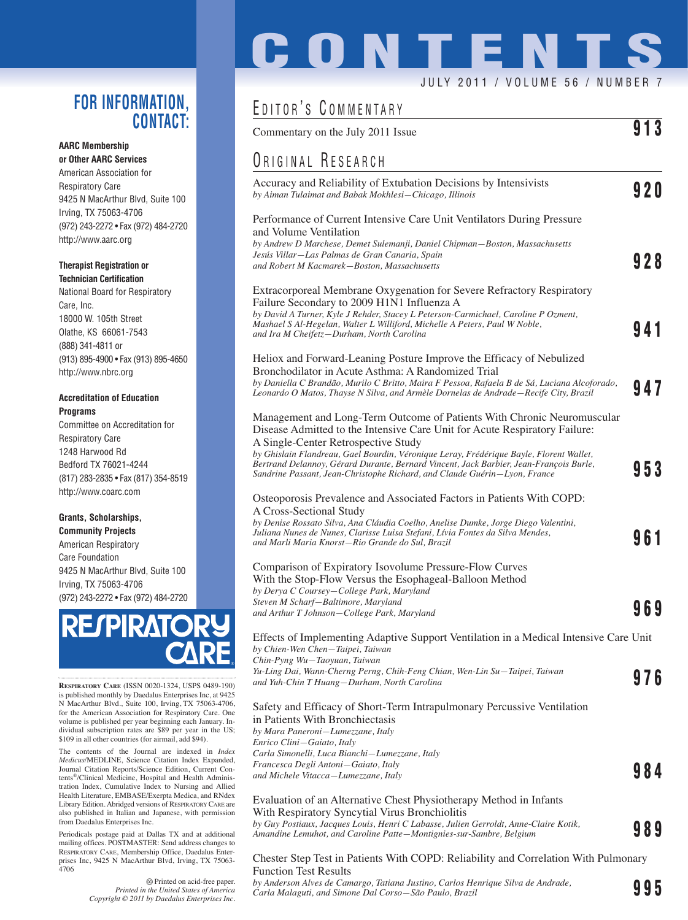### **FOR INFORMATION, CONTACT:**

#### **AARC Membership or Other AARC Services**

American Association for Respiratory Care 9425 N MacArthur Blvd, Suite 100 Irving, TX 75063-4706 (972) 243-2272 • Fax (972) 484-2720 http://www.aarc.org

### **Therapist Registration or Technician Certification**

National Board for Respiratory Care, Inc. 18000 W. 105th Street Olathe, KS 66061-7543 (888) 341-4811 or (913) 895-4900 • Fax (913) 895-4650 http://www.nbrc.org

### **Accreditation of Education Programs**

Committee on Accreditation for Respiratory Care 1248 Harwood Rd Bedford TX 76021-4244 (817) 283-2835 • Fax (817) 354-8519 http://www.coarc.com

### **Grants, Scholarships, Community Projects**

American Respiratory Care Foundation 9425 N MacArthur Blvd, Suite 100 Irving, TX 75063-4706 (972) 243-2272 • Fax (972) 484-2720



**RESPIRATORY CARE** (ISSN 0020-1324, USPS 0489-190) is published monthly by Daedalus Enterprises Inc, at 9425 N MacArthur Blvd., Suite 100, Irving, TX 75063-4706, for the American Association for Respiratory Care. One volume is published per year beginning each January. Individual subscription rates are \$89 per year in the US; \$109 in all other countries (for airmail, add \$94).

The contents of the Journal are indexed in *Index Medicus*/MEDLINE, Science Citation Index Expanded, Journal Citation Reports/Science Edition, Current Contents®/Clinical Medicine, Hospital and Health Administration Index, Cumulative Index to Nursing and Allied Health Literature, EMBASE/Exerpta Medica, and RNdex Library Edition. Abridged versions of RESPIRATORY CARE are also published in Italian and Japanese, with permission from Daedalus Enterprises Inc.

Periodicals postage paid at Dallas TX and at additional mailing offices. POSTMASTER: Send address changes to RESPIRATORY CARE, Membership Office, Daedalus Enterprises Inc, 9425 N MacArthur Blvd, Irving, TX 75063- 4706

> Printed on acid-free paper. *Printed in the United States of America Copyright © 2011 by Daedalus Enterprises Inc.*

# **CONTENT** JULY 2011 / VOLUME 56 / NUMBER 7

## EDITOR'S COMMENTARY

| Commentary on the July 2011 Issue                                                                                                                                                                                                                              | 913 |
|----------------------------------------------------------------------------------------------------------------------------------------------------------------------------------------------------------------------------------------------------------------|-----|
| <b>URIGINAL RESEARCH</b>                                                                                                                                                                                                                                       |     |
| Accuracy and Reliability of Extubation Decisions by Intensivists<br>by Aiman Tulaimat and Babak Mokhlesi-Chicago, Illinois                                                                                                                                     | 920 |
| Performance of Current Intensive Care Unit Ventilators During Pressure<br>and Volume Ventilation                                                                                                                                                               |     |
| by Andrew D Marchese, Demet Sulemanji, Daniel Chipman–Boston, Massachusetts<br>Jesús Villar—Las Palmas de Gran Canaria, Spain<br>and Robert M Kacmarek-Boston, Massachusetts                                                                                   | 928 |
| Extracorporeal Membrane Oxygenation for Severe Refractory Respiratory<br>Failure Secondary to 2009 H1N1 Influenza A                                                                                                                                            |     |
| by David A Turner, Kyle J Rehder, Stacey L Peterson-Carmichael, Caroline P Ozment,<br>Mashael S Al-Hegelan, Walter L Williford, Michelle A Peters, Paul W Noble,<br>and Ira M Cheifetz-Durham, North Carolina                                                  | 941 |
| Heliox and Forward-Leaning Posture Improve the Efficacy of Nebulized<br>Bronchodilator in Acute Asthma: A Randomized Trial                                                                                                                                     |     |
| by Daniella C Brandão, Murilo C Britto, Maira F Pessoa, Rafaela B de Sá, Luciana Alcoforado,<br>Leonardo O Matos, Thayse N Silva, and Armèle Dornelas de Andrade-Recife City, Brazil                                                                           | 947 |
| Management and Long-Term Outcome of Patients With Chronic Neuromuscular<br>Disease Admitted to the Intensive Care Unit for Acute Respiratory Failure:<br>A Single-Center Retrospective Study                                                                   |     |
| by Ghislain Flandreau, Gael Bourdin, Véronique Leray, Frédérique Bayle, Florent Wallet,<br>Bertrand Delannoy, Gérard Durante, Bernard Vincent, Jack Barbier, Jean-François Burle,<br>Sandrine Passant, Jean-Christophe Richard, and Claude Guérin-Lyon, France | 953 |
| Osteoporosis Prevalence and Associated Factors in Patients With COPD:<br>A Cross-Sectional Study                                                                                                                                                               |     |
| by Denise Rossato Silva, Ana Cláudia Coelho, Anelise Dumke, Jorge Diego Valentini,<br>Juliana Nunes de Nunes, Clarisse Luisa Stefani, Lívia Fontes da Silva Mendes,<br>and Marli Maria Knorst–Rio Grande do Sul, Brazil                                        | 961 |
| Comparison of Expiratory Isovolume Pressure-Flow Curves<br>With the Stop-Flow Versus the Esophageal-Balloon Method<br>by Derya C Coursey-College Park, Maryland                                                                                                |     |
| Steven M Scharf-Baltimore, Maryland<br>and Arthur T Johnson-College Park, Maryland                                                                                                                                                                             | 969 |
| Effects of Implementing Adaptive Support Ventilation in a Medical Intensive Care Unit<br>by Chien-Wen Chen-Taipei, Taiwan<br>Chin-Pyng Wu-Taoyuan, Taiwan                                                                                                      |     |
| Yu-Ling Dai, Wann-Cherng Perng, Chih-Feng Chian, Wen-Lin Su-Taipei, Taiwan<br>and Yuh-Chin T Huang-Durham, North Carolina                                                                                                                                      | 976 |
| Safety and Efficacy of Short-Term Intrapulmonary Percussive Ventilation<br>in Patients With Bronchiectasis<br>by Mara Paneroni-Lumezzane, Italy                                                                                                                |     |
| Enrico Clini-Gaiato, Italy<br>Carla Simonelli, Luca Bianchi–Lumezzane, Italy<br>Francesca Degli Antoni-Gaiato, Italy<br>and Michele Vitacca-Lumezzane, Italy                                                                                                   | 984 |
| Evaluation of an Alternative Chest Physiotherapy Method in Infants<br>With Respiratory Syncytial Virus Bronchiolitis                                                                                                                                           |     |
| by Guy Postiaux, Jacques Louis, Henri C Labasse, Julien Gerroldt, Anne-Claire Kotik,<br>Amandine Lemuhot, and Caroline Patte-Montignies-sur-Sambre, Belgium                                                                                                    | 989 |

Chester Step Test in Patients With COPD: Reliability and Correlation With Pulmonary Function Test Results

*by Anderson Alves de Camargo, Tatiana Justino, Carlos Henrique Silva de Andrade, Carla Malaguti, and Simone Dal Corso—São Paulo, Brazil* **995**